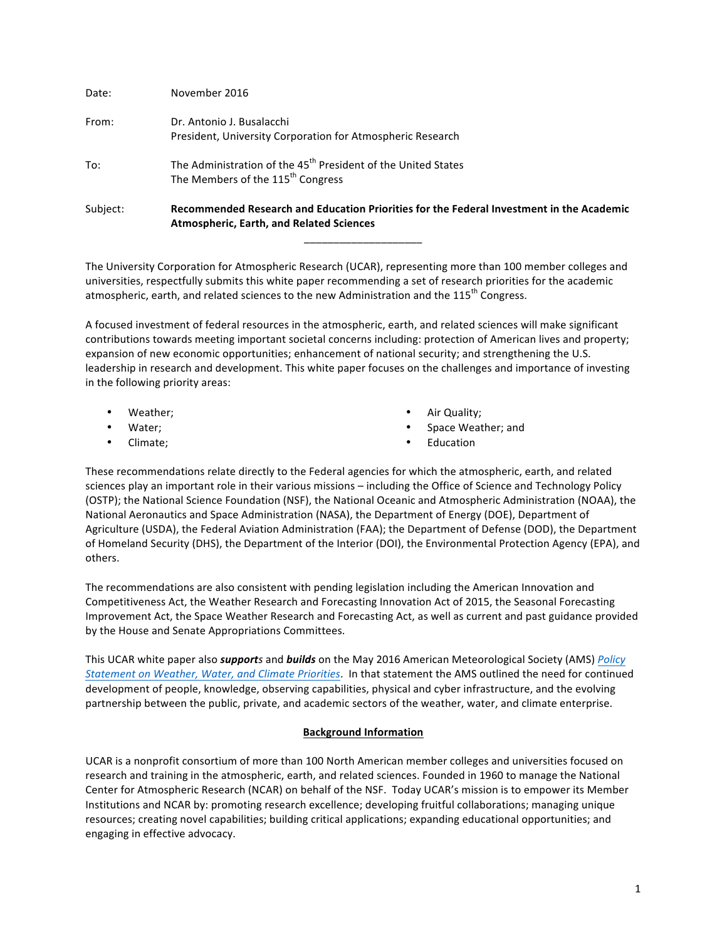| November 2016                                                                                                                               |
|---------------------------------------------------------------------------------------------------------------------------------------------|
| Dr. Antonio J. Busalacchi<br>President, University Corporation for Atmospheric Research                                                     |
| The Administration of the 45 <sup>th</sup> President of the United States<br>The Members of the 115 <sup>th</sup> Congress                  |
| Recommended Research and Education Priorities for the Federal Investment in the Academic<br><b>Atmospheric, Earth, and Related Sciences</b> |
|                                                                                                                                             |

The University Corporation for Atmospheric Research (UCAR), representing more than 100 member colleges and universities, respectfully submits this white paper recommending a set of research priorities for the academic atmospheric, earth, and related sciences to the new Administration and the 115<sup>th</sup> Congress.

A focused investment of federal resources in the atmospheric, earth, and related sciences will make significant contributions towards meeting important societal concerns including: protection of American lives and property; expansion of new economic opportunities; enhancement of national security; and strengthening the U.S. leadership in research and development. This white paper focuses on the challenges and importance of investing in the following priority areas:

- Weather;
- Water;
- Climate;
- Air Quality;
- Space Weather; and
- **Education**

These recommendations relate directly to the Federal agencies for which the atmospheric, earth, and related sciences play an important role in their various missions – including the Office of Science and Technology Policy (OSTP); the National Science Foundation (NSF), the National Oceanic and Atmospheric Administration (NOAA), the National Aeronautics and Space Administration (NASA), the Department of Energy (DOE), Department of Agriculture (USDA), the Federal Aviation Administration (FAA); the Department of Defense (DOD), the Department of Homeland Security (DHS), the Department of the Interior (DOI), the Environmental Protection Agency (EPA), and others. 

The recommendations are also consistent with pending legislation including the American Innovation and Competitiveness Act, the Weather Research and Forecasting Innovation Act of 2015, the Seasonal Forecasting Improvement Act, the Space Weather Research and Forecasting Act, as well as current and past guidance provided by the House and Senate Appropriations Committees.

This UCAR white paper also *supports* and *builds* on the May 2016 American Meteorological Society (AMS) *Policy Statement on Weather, Water, and Climate Priorities*. In that statement the AMS outlined the need for continued development of people, knowledge, observing capabilities, physical and cyber infrastructure, and the evolving partnership between the public, private, and academic sectors of the weather, water, and climate enterprise.

## **Background Information**

UCAR is a nonprofit consortium of more than 100 North American member colleges and universities focused on research and training in the atmospheric, earth, and related sciences. Founded in 1960 to manage the National Center for Atmospheric Research (NCAR) on behalf of the NSF. Today UCAR's mission is to empower its Member Institutions and NCAR by: promoting research excellence; developing fruitful collaborations; managing unique resources; creating novel capabilities; building critical applications; expanding educational opportunities; and engaging in effective advocacy.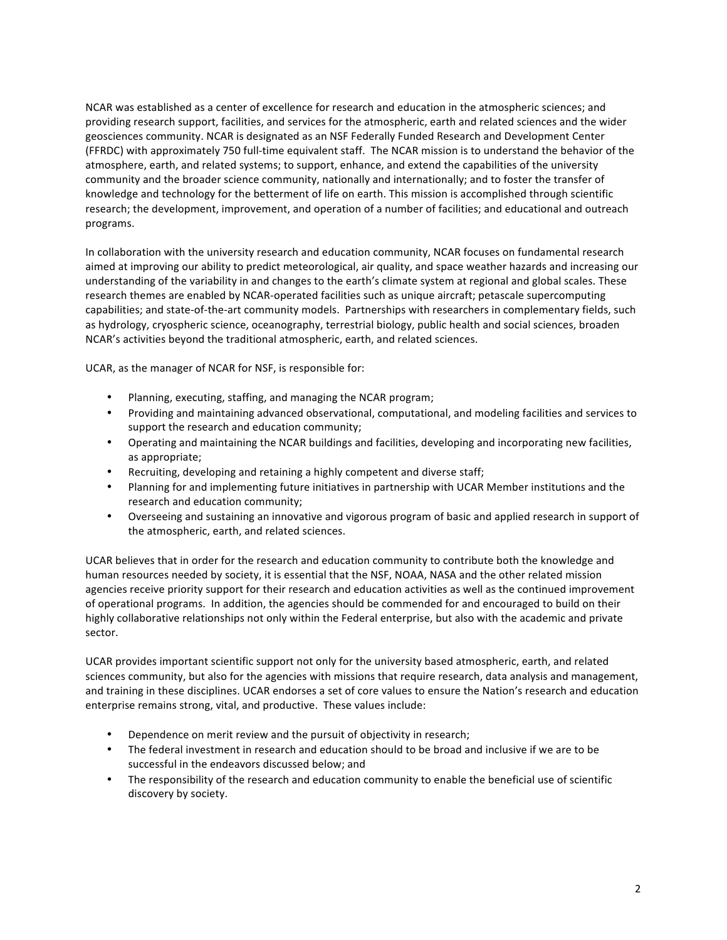NCAR was established as a center of excellence for research and education in the atmospheric sciences; and providing research support, facilities, and services for the atmospheric, earth and related sciences and the wider geosciences community. NCAR is designated as an NSF Federally Funded Research and Development Center (FFRDC) with approximately 750 full-time equivalent staff. The NCAR mission is to understand the behavior of the atmosphere, earth, and related systems; to support, enhance, and extend the capabilities of the university community and the broader science community, nationally and internationally; and to foster the transfer of knowledge and technology for the betterment of life on earth. This mission is accomplished through scientific research; the development, improvement, and operation of a number of facilities; and educational and outreach programs.

In collaboration with the university research and education community, NCAR focuses on fundamental research aimed at improving our ability to predict meteorological, air quality, and space weather hazards and increasing our understanding of the variability in and changes to the earth's climate system at regional and global scales. These research themes are enabled by NCAR-operated facilities such as unique aircraft; petascale supercomputing capabilities; and state-of-the-art community models. Partnerships with researchers in complementary fields, such as hydrology, cryospheric science, oceanography, terrestrial biology, public health and social sciences, broaden NCAR's activities beyond the traditional atmospheric, earth, and related sciences.

UCAR, as the manager of NCAR for NSF, is responsible for:

- Planning, executing, staffing, and managing the NCAR program;
- Providing and maintaining advanced observational, computational, and modeling facilities and services to support the research and education community;
- Operating and maintaining the NCAR buildings and facilities, developing and incorporating new facilities, as appropriate;
- Recruiting, developing and retaining a highly competent and diverse staff;
- Planning for and implementing future initiatives in partnership with UCAR Member institutions and the research and education community;
- Overseeing and sustaining an innovative and vigorous program of basic and applied research in support of the atmospheric, earth, and related sciences.

UCAR believes that in order for the research and education community to contribute both the knowledge and human resources needed by society, it is essential that the NSF, NOAA, NASA and the other related mission agencies receive priority support for their research and education activities as well as the continued improvement of operational programs. In addition, the agencies should be commended for and encouraged to build on their highly collaborative relationships not only within the Federal enterprise, but also with the academic and private sector. 

UCAR provides important scientific support not only for the university based atmospheric, earth, and related sciences community, but also for the agencies with missions that require research, data analysis and management, and training in these disciplines. UCAR endorses a set of core values to ensure the Nation's research and education enterprise remains strong, vital, and productive. These values include:

- Dependence on merit review and the pursuit of objectivity in research;
- The federal investment in research and education should to be broad and inclusive if we are to be successful in the endeavors discussed below; and
- The responsibility of the research and education community to enable the beneficial use of scientific discovery by society.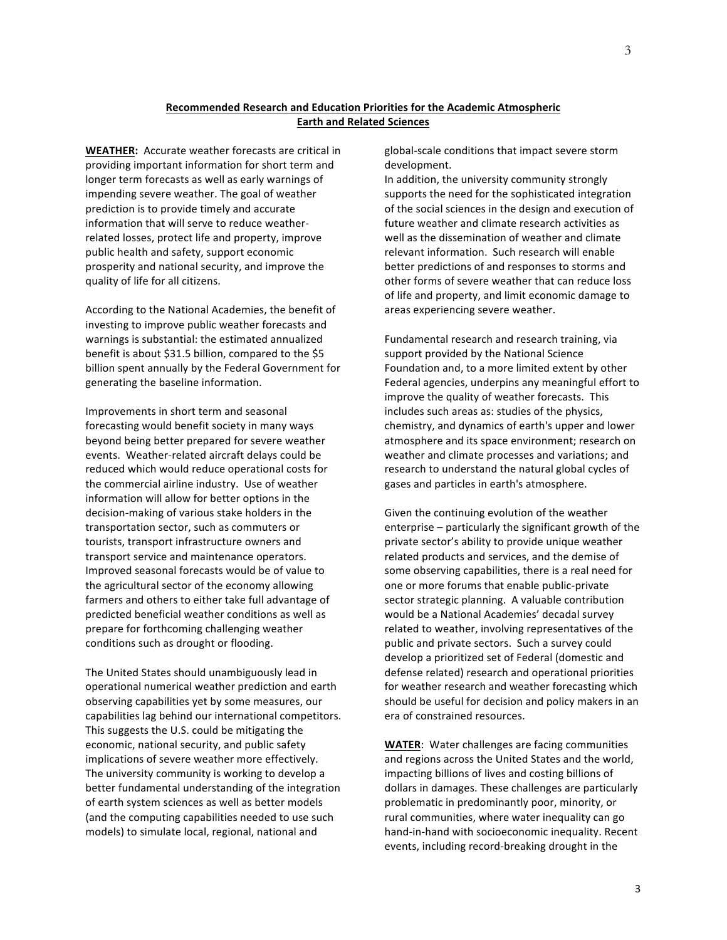## **Recommended Research and Education Priorities for the Academic Atmospheric Earth and Related Sciences**

**WEATHER:** Accurate weather forecasts are critical in providing important information for short term and longer term forecasts as well as early warnings of impending severe weather. The goal of weather prediction is to provide timely and accurate information that will serve to reduce weatherrelated losses, protect life and property, improve public health and safety, support economic prosperity and national security, and improve the quality of life for all citizens.

According to the National Academies, the benefit of investing to improve public weather forecasts and warnings is substantial: the estimated annualized benefit is about \$31.5 billion, compared to the \$5 billion spent annually by the Federal Government for generating the baseline information.

Improvements in short term and seasonal forecasting would benefit society in many ways beyond being better prepared for severe weather events. Weather-related aircraft delays could be reduced which would reduce operational costs for the commercial airline industry. Use of weather information will allow for better options in the decision-making of various stake holders in the transportation sector, such as commuters or tourists, transport infrastructure owners and transport service and maintenance operators. Improved seasonal forecasts would be of value to the agricultural sector of the economy allowing farmers and others to either take full advantage of predicted beneficial weather conditions as well as prepare for forthcoming challenging weather conditions such as drought or flooding.

The United States should unambiguously lead in operational numerical weather prediction and earth observing capabilities yet by some measures, our capabilities lag behind our international competitors. This suggests the U.S. could be mitigating the economic, national security, and public safety implications of severe weather more effectively. The university community is working to develop a better fundamental understanding of the integration of earth system sciences as well as better models (and the computing capabilities needed to use such models) to simulate local, regional, national and

global-scale conditions that impact severe storm development. 

In addition, the university community strongly supports the need for the sophisticated integration of the social sciences in the design and execution of future weather and climate research activities as well as the dissemination of weather and climate relevant information. Such research will enable better predictions of and responses to storms and other forms of severe weather that can reduce loss of life and property, and limit economic damage to areas experiencing severe weather.

Fundamental research and research training, via support provided by the National Science Foundation and, to a more limited extent by other Federal agencies, underpins any meaningful effort to improve the quality of weather forecasts. This includes such areas as: studies of the physics, chemistry, and dynamics of earth's upper and lower atmosphere and its space environment; research on weather and climate processes and variations; and research to understand the natural global cycles of gases and particles in earth's atmosphere.

Given the continuing evolution of the weather enterprise - particularly the significant growth of the private sector's ability to provide unique weather related products and services, and the demise of some observing capabilities, there is a real need for one or more forums that enable public-private sector strategic planning. A valuable contribution would be a National Academies' decadal survey related to weather, involving representatives of the public and private sectors. Such a survey could develop a prioritized set of Federal (domestic and defense related) research and operational priorities for weather research and weather forecasting which should be useful for decision and policy makers in an era of constrained resources.

**WATER:** Water challenges are facing communities and regions across the United States and the world, impacting billions of lives and costing billions of dollars in damages. These challenges are particularly problematic in predominantly poor, minority, or rural communities, where water inequality can go hand-in-hand with socioeconomic inequality. Recent events, including record-breaking drought in the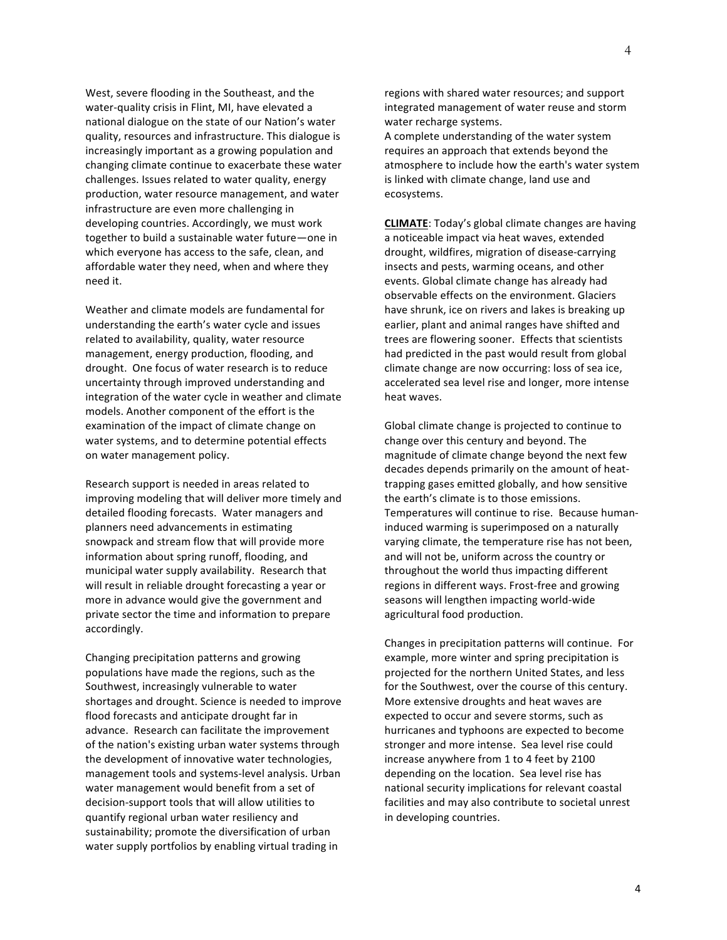West, severe flooding in the Southeast, and the water-quality crisis in Flint, MI, have elevated a national dialogue on the state of our Nation's water quality, resources and infrastructure. This dialogue is increasingly important as a growing population and changing climate continue to exacerbate these water challenges. Issues related to water quality, energy production, water resource management, and water infrastructure are even more challenging in developing countries. Accordingly, we must work together to build a sustainable water future—one in which everyone has access to the safe, clean, and affordable water they need, when and where they need it. 

Weather and climate models are fundamental for understanding the earth's water cycle and issues related to availability, quality, water resource management, energy production, flooding, and drought. One focus of water research is to reduce uncertainty through improved understanding and integration of the water cycle in weather and climate models. Another component of the effort is the examination of the impact of climate change on water systems, and to determine potential effects on water management policy.

Research support is needed in areas related to improving modeling that will deliver more timely and detailed flooding forecasts. Water managers and planners need advancements in estimating snowpack and stream flow that will provide more information about spring runoff, flooding, and municipal water supply availability. Research that will result in reliable drought forecasting a year or more in advance would give the government and private sector the time and information to prepare accordingly. 

Changing precipitation patterns and growing populations have made the regions, such as the Southwest, increasingly vulnerable to water shortages and drought. Science is needed to improve flood forecasts and anticipate drought far in advance. Research can facilitate the improvement of the nation's existing urban water systems through the development of innovative water technologies, management tools and systems-level analysis. Urban water management would benefit from a set of decision-support tools that will allow utilities to quantify regional urban water resiliency and sustainability; promote the diversification of urban water supply portfolios by enabling virtual trading in

regions with shared water resources; and support integrated management of water reuse and storm water recharge systems.

A complete understanding of the water system requires an approach that extends beyond the atmosphere to include how the earth's water system is linked with climate change, land use and ecosystems.

**CLIMATE:** Today's global climate changes are having a noticeable impact via heat waves, extended drought, wildfires, migration of disease-carrying insects and pests, warming oceans, and other events. Global climate change has already had observable effects on the environment. Glaciers have shrunk, ice on rivers and lakes is breaking up earlier, plant and animal ranges have shifted and trees are flowering sooner. Effects that scientists had predicted in the past would result from global climate change are now occurring: loss of sea ice, accelerated sea level rise and longer, more intense heat waves.

Global climate change is projected to continue to change over this century and beyond. The magnitude of climate change beyond the next few decades depends primarily on the amount of heattrapping gases emitted globally, and how sensitive the earth's climate is to those emissions. Temperatures will continue to rise. Because humaninduced warming is superimposed on a naturally varying climate, the temperature rise has not been, and will not be, uniform across the country or throughout the world thus impacting different regions in different ways. Frost-free and growing seasons will lengthen impacting world-wide agricultural food production.

Changes in precipitation patterns will continue. For example, more winter and spring precipitation is projected for the northern United States, and less for the Southwest, over the course of this century. More extensive droughts and heat waves are expected to occur and severe storms, such as hurricanes and typhoons are expected to become stronger and more intense. Sea level rise could increase anywhere from 1 to 4 feet by 2100 depending on the location. Sea level rise has national security implications for relevant coastal facilities and may also contribute to societal unrest in developing countries.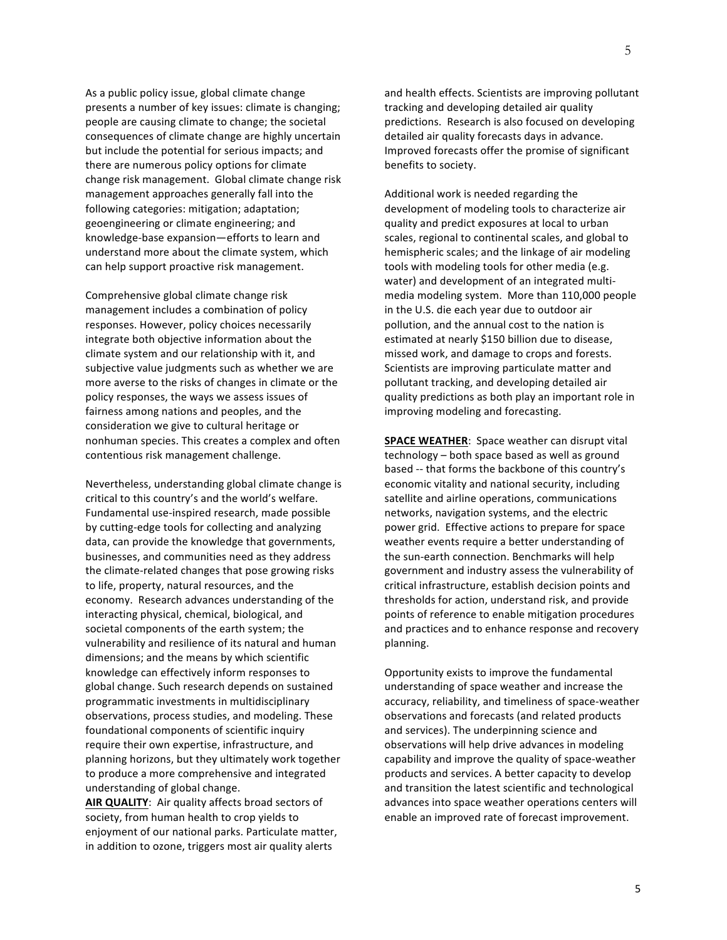As a public policy issue, global climate change presents a number of key issues: climate is changing; people are causing climate to change; the societal consequences of climate change are highly uncertain but include the potential for serious impacts; and there are numerous policy options for climate change risk management. Global climate change risk management approaches generally fall into the following categories: mitigation; adaptation; geoengineering or climate engineering; and knowledge-base expansion—efforts to learn and understand more about the climate system, which can help support proactive risk management.

Comprehensive global climate change risk management includes a combination of policy responses. However, policy choices necessarily integrate both objective information about the climate system and our relationship with it, and subjective value judgments such as whether we are more averse to the risks of changes in climate or the policy responses, the ways we assess issues of fairness among nations and peoples, and the consideration we give to cultural heritage or nonhuman species. This creates a complex and often contentious risk management challenge.

Nevertheless, understanding global climate change is critical to this country's and the world's welfare. Fundamental use-inspired research, made possible by cutting-edge tools for collecting and analyzing data, can provide the knowledge that governments, businesses, and communities need as they address the climate-related changes that pose growing risks to life, property, natural resources, and the economy. Research advances understanding of the interacting physical, chemical, biological, and societal components of the earth system; the vulnerability and resilience of its natural and human dimensions; and the means by which scientific knowledge can effectively inform responses to global change. Such research depends on sustained programmatic investments in multidisciplinary observations, process studies, and modeling. These foundational components of scientific inquiry require their own expertise, infrastructure, and planning horizons, but they ultimately work together to produce a more comprehensive and integrated understanding of global change.

AIR QUALITY: Air quality affects broad sectors of society, from human health to crop yields to enjoyment of our national parks. Particulate matter, in addition to ozone, triggers most air quality alerts

and health effects. Scientists are improving pollutant tracking and developing detailed air quality predictions. Research is also focused on developing detailed air quality forecasts days in advance. Improved forecasts offer the promise of significant benefits to society.

Additional work is needed regarding the development of modeling tools to characterize air quality and predict exposures at local to urban scales, regional to continental scales, and global to hemispheric scales; and the linkage of air modeling tools with modeling tools for other media (e.g. water) and development of an integrated multimedia modeling system. More than 110,000 people in the U.S. die each year due to outdoor air pollution, and the annual cost to the nation is estimated at nearly \$150 billion due to disease, missed work, and damage to crops and forests. Scientists are improving particulate matter and pollutant tracking, and developing detailed air quality predictions as both play an important role in improving modeling and forecasting.

**SPACE WEATHER:** Space weather can disrupt vital technology – both space based as well as ground based -- that forms the backbone of this country's economic vitality and national security, including satellite and airline operations, communications networks, navigation systems, and the electric power grid. Effective actions to prepare for space weather events require a better understanding of the sun-earth connection. Benchmarks will help government and industry assess the vulnerability of critical infrastructure, establish decision points and thresholds for action, understand risk, and provide points of reference to enable mitigation procedures and practices and to enhance response and recovery planning. 

Opportunity exists to improve the fundamental understanding of space weather and increase the accuracy, reliability, and timeliness of space-weather observations and forecasts (and related products and services). The underpinning science and observations will help drive advances in modeling capability and improve the quality of space-weather products and services. A better capacity to develop and transition the latest scientific and technological advances into space weather operations centers will enable an improved rate of forecast improvement.